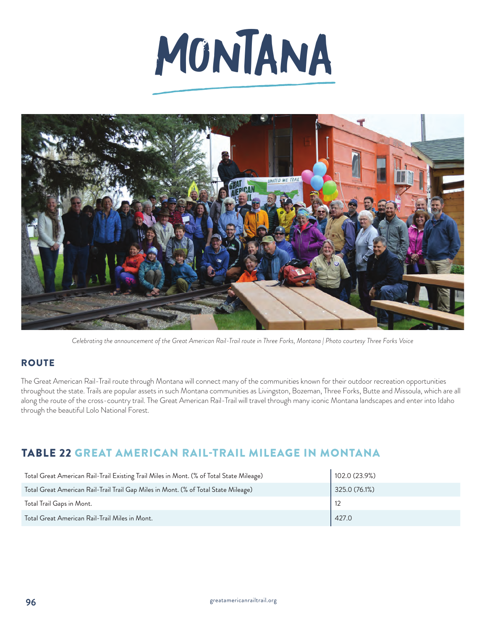# MONTANA



*Celebrating the announcement of the Great American Rail-Trail route in Three Forks, Montana | Photo courtesy Three Forks Voice*

## **ROUTE**

The Great American Rail-Trail route through Montana will connect many of the communities known for their outdoor recreation opportunities throughout the state. Trails are popular assets in such Montana communities as Livingston, Bozeman, Three Forks, Butte and Missoula, which are all along the route of the cross-country trail. The Great American Rail-Trail will travel through many iconic Montana landscapes and enter into Idaho through the beautiful Lolo National Forest.

# TABLE 22 GREAT AMERICAN RAIL-TRAIL MILEAGE IN MONTANA

| Total Great American Rail-Trail Existing Trail Miles in Mont. (% of Total State Mileage) | 102.0 (23.9%) |
|------------------------------------------------------------------------------------------|---------------|
| Total Great American Rail-Trail Trail Gap Miles in Mont. (% of Total State Mileage)      | 325.0 (76.1%) |
| Total Trail Gaps in Mont.                                                                |               |
| Total Great American Rail-Trail Miles in Mont.                                           | 427.0         |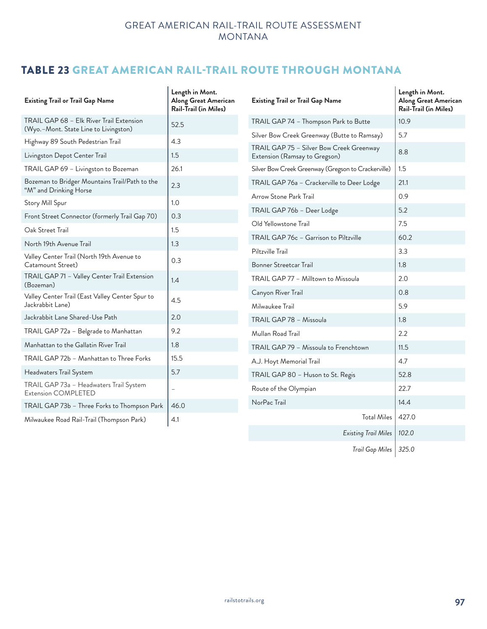# TABLE 23 GREAT AMERICAN RAIL-TRAIL ROUTE THROUGH MONTANA

| <b>Existing Trail or Trail Gap Name</b>                                           | Length in Mont.<br>Along Great American<br><b>Rail-Trail (in Miles)</b> | <b>Existing Trail or Trail Gap Name</b>                                   | Length in Mont.<br>Along Great American<br><b>Rail-Trail (in Miles)</b> |
|-----------------------------------------------------------------------------------|-------------------------------------------------------------------------|---------------------------------------------------------------------------|-------------------------------------------------------------------------|
| TRAIL GAP 68 - Elk River Trail Extension<br>(Wyo.-Mont. State Line to Livingston) | 52.5                                                                    | TRAIL GAP 74 - Thompson Park to Butte                                     | 10.9                                                                    |
| Highway 89 South Pedestrian Trail                                                 | 4.3                                                                     | Silver Bow Creek Greenway (Butte to Ramsay)                               | 5.7                                                                     |
| Livingston Depot Center Trail                                                     | 1.5                                                                     | TRAIL GAP 75 - Silver Bow Creek Greenway<br>Extension (Ramsay to Gregson) | 8.8                                                                     |
| TRAIL GAP 69 - Livingston to Bozeman                                              | 26.1                                                                    | Silver Bow Creek Greenway (Gregson to Crackerville)                       | 1.5                                                                     |
| Bozeman to Bridger Mountains Trail/Path to the<br>"M" and Drinking Horse          | 2.3                                                                     | TRAIL GAP 76a - Crackerville to Deer Lodge                                | 21.1                                                                    |
| Story Mill Spur                                                                   | 1.0                                                                     | Arrow Stone Park Trail                                                    | 0.9                                                                     |
| Front Street Connector (formerly Trail Gap 70)                                    | 0.3                                                                     | TRAIL GAP 76b - Deer Lodge                                                | 5.2                                                                     |
| Oak Street Trail                                                                  | 1.5                                                                     | Old Yellowstone Trail                                                     | 7.5                                                                     |
| North 19th Avenue Trail                                                           | 1.3                                                                     | TRAIL GAP 76c - Garrison to Piltzville                                    | 60.2                                                                    |
| Valley Center Trail (North 19th Avenue to                                         |                                                                         | Piltzville Trail                                                          | 3.3                                                                     |
| Catamount Street)                                                                 | 0.3                                                                     | Bonner Streetcar Trail                                                    | 1.8                                                                     |
| TRAIL GAP 71 - Valley Center Trail Extension<br>(Bozeman)                         | 1.4                                                                     | TRAIL GAP 77 - Milltown to Missoula                                       | 2.0                                                                     |
| Valley Center Trail (East Valley Center Spur to<br>Jackrabbit Lane)               | 4.5                                                                     | Canyon River Trail<br>Milwaukee Trail                                     | 0.8<br>5.9                                                              |
| Jackrabbit Lane Shared-Use Path                                                   | 2.0                                                                     |                                                                           |                                                                         |
| TRAIL GAP 72a - Belgrade to Manhattan                                             | 9.2                                                                     | TRAIL GAP 78 - Missoula                                                   | 1.8                                                                     |
| Manhattan to the Gallatin River Trail                                             | 1.8                                                                     | Mullan Road Trail                                                         | 2.2                                                                     |
|                                                                                   |                                                                         | TRAIL GAP 79 - Missoula to Frenchtown                                     | 11.5                                                                    |
| TRAIL GAP 72b - Manhattan to Three Forks                                          | 15.5                                                                    | A.J. Hoyt Memorial Trail                                                  | 4.7                                                                     |
| Headwaters Trail System                                                           | 5.7                                                                     | TRAIL GAP 80 - Huson to St. Regis                                         | 52.8                                                                    |
| TRAIL GAP 73a - Headwaters Trail System<br><b>Extension COMPLETED</b>             | $\overline{\phantom{a}}$                                                | Route of the Olympian                                                     | 22.7                                                                    |
| TRAIL GAP 73b - Three Forks to Thompson Park                                      | 46.0                                                                    | NorPac Trail                                                              | 14.4                                                                    |
| Milwaukee Road Rail-Trail (Thompson Park)                                         | 4.1                                                                     | <b>Total Miles</b>                                                        | 427.0                                                                   |
|                                                                                   |                                                                         | Existing Trail Miles   102.0                                              |                                                                         |

*Trail Gap Miles 325.0*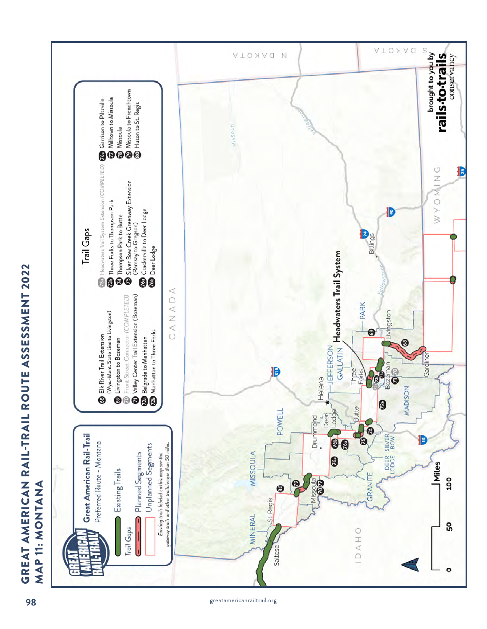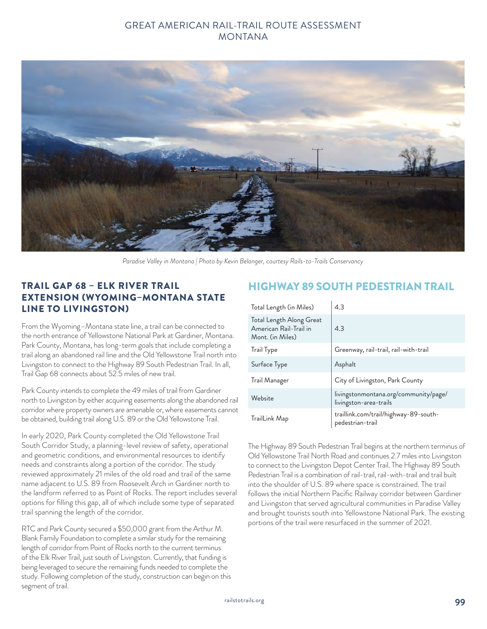

*Paradise Valley in Montana | Photo by Kevin Belanger, courtesy Rails-to-Trails Conservancy*

### TRAIL GAP 68 – ELK RIVER TRAIL EXTENSION (WYOMING–MONTANA STATE LINE TO LIVINGSTON)

From the Wyoming–Montana state line, a trail can be connected to the north entrance of Yellowstone National Park at Gardiner, Montana. Park County, Montana, has long-term goals that include completing a trail along an abandoned rail line and the Old Yellowstone Trail north into Livingston to connect to the Highway 89 South Pedestrian Trail. In all, Trail Gap 68 connects about 52.5 miles of new trail.

Park County intends to complete the 49 miles of trail from Gardiner north to Livingston by either acquiring easements along the abandoned rail corridor where property owners are amenable or, where easements cannot be obtained, building trail along U.S. 89 or the Old Yellowstone Trail.

In early 2020, Park County completed the Old Yellowstone Trail South Corridor Study, a planning-level review of safety, operational and geometric conditions, and environmental resources to identify needs and constraints along a portion of the corridor. The study reviewed approximately 21 miles of the old road and trail of the same name adjacent to U.S. 89 from Roosevelt Arch in Gardiner north to the landform referred to as Point of Rocks. The report includes several options for filling this gap, all of which include some type of separated trail spanning the length of the corridor.

RTC and Park County secured a \$50,000 grant from the Arthur M. Blank Family Foundation to complete a similar study for the remaining length of corridor from Point of Rocks north to the current terminus of the Elk River Trail, just south of Livingston. Currently, that funding is being leveraged to secure the remaining funds needed to complete the study. Following completion of the study, construction can begin on this segment of trail.

#### HIGHWAY 89 SOUTH PEDESTRIAN TRAIL

| Total Length (in Miles)                                                | 4.3                                                             |
|------------------------------------------------------------------------|-----------------------------------------------------------------|
| Total Length Along Great<br>American Rail-Trail in<br>Mont. (in Miles) | 4.3                                                             |
| Trail Type                                                             | Greenway, rail-trail, rail-with-trail                           |
| Surface Type                                                           | Asphalt                                                         |
| Trail Manager                                                          | City of Livingston, Park County                                 |
| Website                                                                | livingstonmontana.org/community/page/<br>livingston-area-trails |
| TrailLink Map                                                          | traillink.com/trail/highway-89-south-<br>pedestrian-trail       |

The Highway 89 South Pedestrian Trail begins at the northern terminus of Old Yellowstone Trail North Road and continues 2.7 miles into Livingston to connect to the Livingston Depot Center Trail. The Highway 89 South Pedestrian Trail is a combination of rail-trail, rail-with-trail and trail built into the shoulder of U.S. 89 where space is constrained. The trail follows the initial Northern Pacific Railway corridor between Gardiner and Livingston that served agricultural communities in Paradise Valley and brought tourists south into Yellowstone National Park. The existing portions of the trail were resurfaced in the summer of 2021.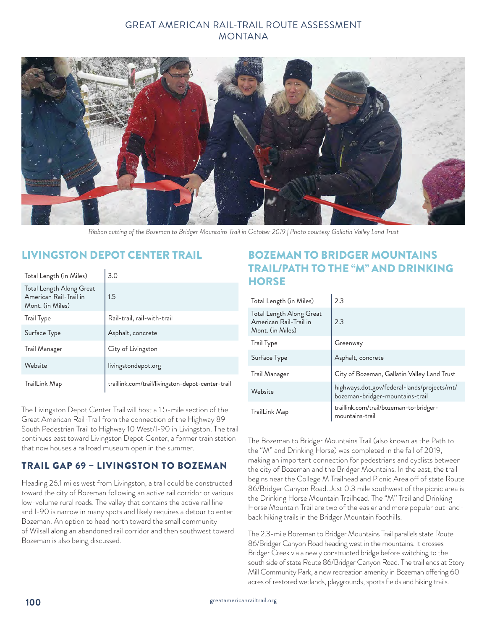

*Ribbon cutting of the Bozeman to Bridger Mountains Trail in October 2019 | Photo courtesy Gallatin Valley Land Trust*

## LIVINGSTON DEPOT CENTER TRAIL

| Total Length (in Miles)                                                | 3.0                                               |
|------------------------------------------------------------------------|---------------------------------------------------|
| Total Length Along Great<br>American Rail-Trail in<br>Mont. (in Miles) | 1.5                                               |
| <b>Trail Type</b>                                                      | Rail-trail, rail-with-trail                       |
| Surface Type                                                           | Asphalt, concrete                                 |
| Trail Manager                                                          | City of Livingston                                |
| Website                                                                | livingstondepot.org                               |
| TrailLink Map                                                          | traillink.com/trail/livingston-depot-center-trail |

The Livingston Depot Center Trail will host a 1.5-mile section of the Great American Rail-Trail from the connection of the Highway 89 South Pedestrian Trail to Highway 10 West/I-90 in Livingston. The trail continues east toward Livingston Depot Center, a former train station that now houses a railroad museum open in the summer.

## TRAIL GAP 69 – LIVINGSTON TO BOZEMAN

Heading 26.1 miles west from Livingston, a trail could be constructed toward the city of Bozeman following an active rail corridor or various low-volume rural roads. The valley that contains the active rail line and I-90 is narrow in many spots and likely requires a detour to enter Bozeman. An option to head north toward the small community of Wilsall along an abandoned rail corridor and then southwest toward Bozeman is also being discussed.

# BOZEMAN TO BRIDGER MOUNTAINS TRAIL/PATH TO THE "M" AND DRINKING **HORSE**

| Total Length (in Miles)                                                | 2.3                                                                            |
|------------------------------------------------------------------------|--------------------------------------------------------------------------------|
| Total Length Along Great<br>American Rail-Trail in<br>Mont. (in Miles) | 2.3                                                                            |
| <b>Trail Type</b>                                                      | Greenway                                                                       |
| Surface Type                                                           | Asphalt, concrete                                                              |
| Trail Manager                                                          | City of Bozeman, Gallatin Valley Land Trust                                    |
| Website                                                                | highways.dot.gov/federal-lands/projects/mt/<br>bozeman-bridger-mountains-trail |
| TrailLink Map                                                          | traillink.com/trail/bozeman-to-bridger-<br>mountains-trail                     |

The Bozeman to Bridger Mountains Trail (also known as the Path to the "M" and Drinking Horse) was completed in the fall of 2019, making an important connection for pedestrians and cyclists between the city of Bozeman and the Bridger Mountains. In the east, the trail begins near the College M Trailhead and Picnic Area off of state Route 86/Bridger Canyon Road. Just 0.3 mile southwest of the picnic area is the Drinking Horse Mountain Trailhead. The "M" Trail and Drinking Horse Mountain Trail are two of the easier and more popular out-andback hiking trails in the Bridger Mountain foothills.

The 2.3-mile Bozeman to Bridger Mountains Trail parallels state Route 86/Bridger Canyon Road heading west in the mountains. It crosses Bridger Creek via a newly constructed bridge before switching to the south side of state Route 86/Bridger Canyon Road. The trail ends at Story Mill Community Park, a new recreation amenity in Bozeman offering 60 acres of restored wetlands, playgrounds, sports fields and hiking trails.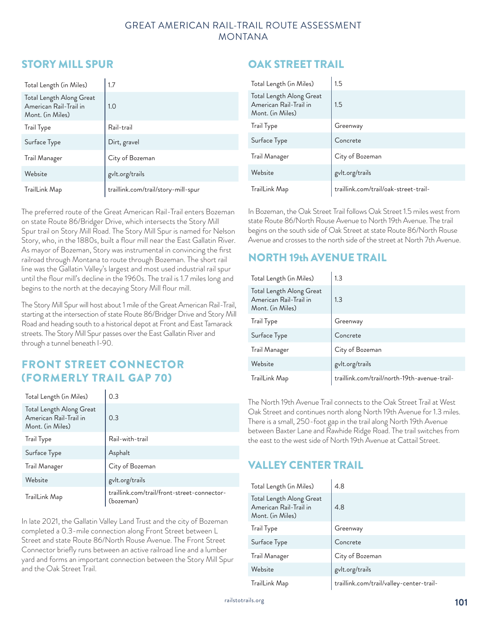# STORY MILL SPUR

| Total Length (in Miles)                                                | 1.7                                 |
|------------------------------------------------------------------------|-------------------------------------|
| Total Length Along Great<br>American Rail-Trail in<br>Mont. (in Miles) | 1.0                                 |
| Trail Type                                                             | Rail-trail                          |
| Surface Type                                                           | Dirt, gravel                        |
| Trail Manager                                                          | City of Bozeman                     |
| Website                                                                | gvlt.org/trails                     |
| TrailLink Map                                                          | traillink.com/trail/story-mill-spur |

The preferred route of the Great American Rail-Trail enters Bozeman on state Route 86/Bridger Drive, which intersects the Story Mill Spur trail on Story Mill Road. The Story Mill Spur is named for Nelson Story, who, in the 1880s, built a flour mill near the East Gallatin River. As mayor of Bozeman, Story was instrumental in convincing the first railroad through Montana to route through Bozeman. The short rail line was the Gallatin Valley's largest and most used industrial rail spur until the flour mill's decline in the 1960s. The trail is 1.7 miles long and begins to the north at the decaying Story Mill flour mill.

The Story Mill Spur will host about 1 mile of the Great American Rail-Trail, starting at the intersection of state Route 86/Bridger Drive and Story Mill Road and heading south to a historical depot at Front and East Tamarack streets. The Story Mill Spur passes over the East Gallatin River and through a tunnel beneath I-90.

# FRONT STREET CONNECTOR (FORMERLY TRAIL GAP 70)

| Total Length (in Miles)                                                | 0.3                                                      |
|------------------------------------------------------------------------|----------------------------------------------------------|
| Total Length Along Great<br>American Rail-Trail in<br>Mont. (in Miles) | 0.3                                                      |
| <b>Trail Type</b>                                                      | Rail-with-trail                                          |
| Surface Type                                                           | Asphalt                                                  |
| Trail Manager                                                          | City of Bozeman                                          |
| Website                                                                | gvlt.org/trails                                          |
| TrailLink Map                                                          | traillink.com/trail/front-street-connector-<br>(bozeman) |

In late 2021, the Gallatin Valley Land Trust and the city of Bozeman completed a 0.3-mile connection along Front Street between L Street and state Route 86/North Rouse Avenue. The Front Street Connector briefly runs between an active railroad line and a lumber yard and forms an important connection between the Story Mill Spur and the Oak Street Trail.

# OAK STREET TRAIL

| Total Length (in Miles)                                                | 1.5                                   |
|------------------------------------------------------------------------|---------------------------------------|
| Total Length Along Great<br>American Rail-Trail in<br>Mont. (in Miles) | 1.5                                   |
| Trail Type                                                             | Greenway                              |
| Surface Type                                                           | Concrete                              |
| Trail Manager                                                          | City of Bozeman                       |
| Website                                                                | gvlt.org/trails                       |
| TrailLink Map                                                          | traillink.com/trail/oak-street-trail- |

In Bozeman, the Oak Street Trail follows Oak Street 1.5 miles west from state Route 86/North Rouse Avenue to North 19th Avenue. The trail begins on the south side of Oak Street at state Route 86/North Rouse Avenue and crosses to the north side of the street at North 7th Avenue.

# NORTH 19th AVENUE TRAIL

| Total Length (in Miles)                                                | 1.3                                          |
|------------------------------------------------------------------------|----------------------------------------------|
| Total Length Along Great<br>American Rail-Trail in<br>Mont. (in Miles) | 1.3                                          |
| <b>Trail Type</b>                                                      | Greenway                                     |
| Surface Type                                                           | Concrete                                     |
| Trail Manager                                                          | City of Bozeman                              |
| Website                                                                | gvlt.org/trails                              |
| TrailLink Map                                                          | traillink.com/trail/north-19th-avenue-trail- |

The North 19th Avenue Trail connects to the Oak Street Trail at West Oak Street and continues north along North 19th Avenue for 1.3 miles. There is a small, 250-foot gap in the trail along North 19th Avenue between Baxter Lane and Rawhide Ridge Road. The trail switches from the east to the west side of North 19th Avenue at Cattail Street.

# VALLEY CENTER TRAIL

| Total Length (in Miles)                                                | 4.8                                      |
|------------------------------------------------------------------------|------------------------------------------|
| Total Length Along Great<br>American Rail-Trail in<br>Mont. (in Miles) | 4.8                                      |
| Trail Type                                                             | Greenway                                 |
| Surface Type                                                           | Concrete                                 |
| Trail Manager                                                          | City of Bozeman                          |
| Website                                                                | gvlt.org/trails                          |
| TrailLink Map                                                          | traillink.com/trail/valley-center-trail- |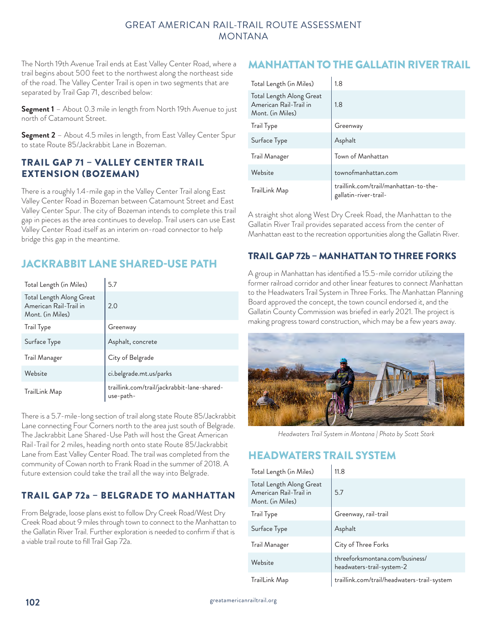The North 19th Avenue Trail ends at East Valley Center Road, where a trail begins about 500 feet to the northwest along the northeast side of the road. The Valley Center Trail is open in two segments that are separated by Trail Gap 71, described below:

**Segment 1** – About 0.3 mile in length from North 19th Avenue to just north of Catamount Street.

**Segment 2** - About 4.5 miles in length, from East Valley Center Spur to state Route 85/Jackrabbit Lane in Bozeman.

#### TRAIL GAP 71 – VALLEY CENTER TRAIL EXTENSION (BOZEMAN)

There is a roughly 1.4-mile gap in the Valley Center Trail along East Valley Center Road in Bozeman between Catamount Street and East Valley Center Spur. The city of Bozeman intends to complete this trail gap in pieces as the area continues to develop. Trail users can use East Valley Center Road itself as an interim on-road connector to help bridge this gap in the meantime.

# JACKRABBIT LANE SHARED-USE PATH

| Total Length (in Miles)                                                | 5.7                                                      |
|------------------------------------------------------------------------|----------------------------------------------------------|
| Total Length Along Great<br>American Rail-Trail in<br>Mont. (in Miles) | 2.0                                                      |
| Trail Type                                                             | Greenway                                                 |
| Surface Type                                                           | Asphalt, concrete                                        |
| Trail Manager                                                          | City of Belgrade                                         |
| Website                                                                | ci.belgrade.mt.us/parks                                  |
| TrailLink Map                                                          | traillink.com/trail/jackrabbit-lane-shared-<br>use-path- |

There is a 5.7-mile-long section of trail along state Route 85/Jackrabbit Lane connecting Four Corners north to the area just south of Belgrade. The Jackrabbit Lane Shared-Use Path will host the Great American Rail-Trail for 2 miles, heading north onto state Route 85/Jackrabbit Lane from East Valley Center Road. The trail was completed from the community of Cowan north to Frank Road in the summer of 2018. A future extension could take the trail all the way into Belgrade.

## TRAIL GAP 72a – BELGRADE TO MANHATTAN

From Belgrade, loose plans exist to follow Dry Creek Road/West Dry Creek Road about 9 miles through town to connect to the Manhattan to the Gallatin River Trail. Further exploration is needed to confirm if that is a viable trail route to fill Trail Gap 72a.

# MANHATTAN TO THE GALLATIN RIVER TRAIL

| Total Length (in Miles)                                                | 1.8                                                            |
|------------------------------------------------------------------------|----------------------------------------------------------------|
| Total Length Along Great<br>American Rail-Trail in<br>Mont. (in Miles) | 1.8                                                            |
| Trail Type                                                             | Greenway                                                       |
| Surface Type                                                           | Asphalt                                                        |
| Trail Manager                                                          | Town of Manhattan                                              |
| Website                                                                | townofmanhattan.com                                            |
| TrailLink Map                                                          | traillink.com/trail/manhattan-to-the-<br>gallatin-river-trail- |

A straight shot along West Dry Creek Road, the Manhattan to the Gallatin River Trail provides separated access from the center of Manhattan east to the recreation opportunities along the Gallatin River.

## TRAIL GAP 72b – MANHATTAN TO THREE FORKS

A group in Manhattan has identified a 15.5-mile corridor utilizing the former railroad corridor and other linear features to connect Manhattan to the Headwaters Trail System in Three Forks. The Manhattan Planning Board approved the concept, the town council endorsed it, and the Gallatin County Commission was briefed in early 2021. The project is making progress toward construction, which may be a few years away.



*Headwaters Trail System in Montana | Photo by Scott Stark*

# HEADWATERS TRAIL SYSTEM

| Total Length (in Miles)                                                | 11.8                                                         |
|------------------------------------------------------------------------|--------------------------------------------------------------|
| Total Length Along Great<br>American Rail-Trail in<br>Mont. (in Miles) | 5.7                                                          |
| Trail Type                                                             | Greenway, rail-trail                                         |
| Surface Type                                                           | Asphalt                                                      |
| Trail Manager                                                          | City of Three Forks                                          |
| Website                                                                | threeforksmontana.com/business/<br>headwaters-trail-system-2 |
| TrailLink Map                                                          | traillink.com/trail/headwaters-trail-system                  |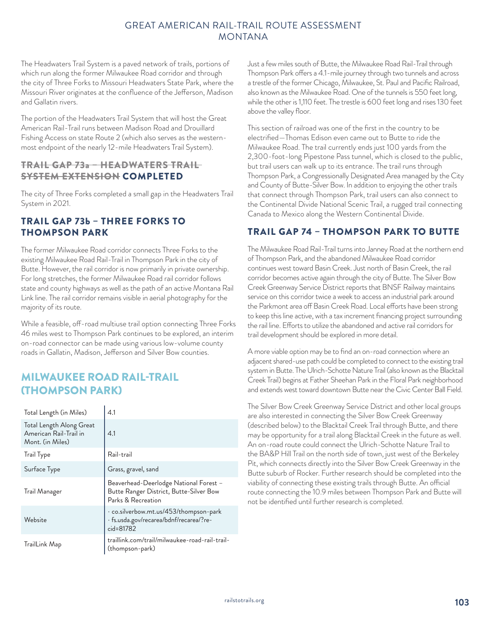The Headwaters Trail System is a paved network of trails, portions of which run along the former Milwaukee Road corridor and through the city of Three Forks to Missouri Headwaters State Park, where the Missouri River originates at the confluence of the Jefferson, Madison and Gallatin rivers.

The portion of the Headwaters Trail System that will host the Great American Rail-Trail runs between Madison Road and Drouillard Fishing Access on state Route 2 (which also serves as the westernmost endpoint of the nearly 12-mile Headwaters Trail System).

#### TRAIL GAP 73a – HEADWATERS TRAIL SYSTEM EXTENSION COMPLETED

The city of Three Forks completed a small gap in the Headwaters Trail System in 2021.

## TRAIL GAP 73b – THREE FORKS TO THOMPSON PARK

The former Milwaukee Road corridor connects Three Forks to the existing Milwaukee Road Rail-Trail in Thompson Park in the city of Butte. However, the rail corridor is now primarily in private ownership. For long stretches, the former Milwaukee Road rail corridor follows state and county highways as well as the path of an active Montana Rail Link line. The rail corridor remains visible in aerial photography for the majority of its route.

While a feasible, off-road multiuse trail option connecting Three Forks 46 miles west to Thompson Park continues to be explored, an interim on-road connector can be made using various low-volume county roads in Gallatin, Madison, Jefferson and Silver Bow counties.

# MILWAUKEE ROAD RAIL-TRAIL (THOMPSON PARK)

| Total Length (in Miles)                                                | 4.1                                                                                                     |
|------------------------------------------------------------------------|---------------------------------------------------------------------------------------------------------|
| Total Length Along Great<br>American Rail-Trail in<br>Mont. (in Miles) | 4.1                                                                                                     |
| <b>Trail Type</b>                                                      | Rail-trail                                                                                              |
| Surface Type                                                           | Grass, gravel, sand                                                                                     |
| Trail Manager                                                          | Beaverhead-Deerlodge National Forest -<br>Butte Ranger District, Butte-Silver Bow<br>Parks & Recreation |
| Website                                                                | · co.silverbow.mt.us/453/thompson-park<br>· fs.usda.gov/recarea/bdnf/recarea/?re-<br>cid=81782          |
| TrailLink Map                                                          | traillink.com/trail/milwaukee-road-rail-trail-<br>(thompson-park)                                       |

Just a few miles south of Butte, the Milwaukee Road Rail-Trail through Thompson Park offers a 4.1-mile journey through two tunnels and across a trestle of the former Chicago, Milwaukee, St. Paul and Pacific Railroad, also known as the Milwaukee Road. One of the tunnels is 550 feet long, while the other is 1,110 feet. The trestle is 600 feet long and rises 130 feet above the valley floor.

This section of railroad was one of the first in the country to be electrified—Thomas Edison even came out to Butte to ride the Milwaukee Road. The trail currently ends just 100 yards from the 2,300-foot-long Pipestone Pass tunnel, which is closed to the public, but trail users can walk up to its entrance. The trail runs through Thompson Park, a Congressionally Designated Area managed by the City and County of Butte-Silver Bow. In addition to enjoying the other trails that connect through Thompson Park, trail users can also connect to the Continental Divide National Scenic Trail, a rugged trail connecting Canada to Mexico along the Western Continental Divide.

## TRAIL GAP 74 – THOMPSON PARK TO BUTTE

The Milwaukee Road Rail-Trail turns into Janney Road at the northern end of Thompson Park, and the abandoned Milwaukee Road corridor continues west toward Basin Creek. Just north of Basin Creek, the rail corridor becomes active again through the city of Butte. The Silver Bow Creek Greenway Service District reports that BNSF Railway maintains service on this corridor twice a week to access an industrial park around the Parkmont area off Basin Creek Road. Local efforts have been strong to keep this line active, with a tax increment financing project surrounding the rail line. Efforts to utilize the abandoned and active rail corridors for trail development should be explored in more detail.

A more viable option may be to find an on-road connection where an adjacent shared-use path could be completed to connect to the existing trail system in Butte. The Ulrich-Schotte Nature Trail (also known as the Blacktail Creek Trail) begins at Father Sheehan Park in the Floral Park neighborhood and extends west toward downtown Butte near the Civic Center Ball Field.

The Silver Bow Creek Greenway Service District and other local groups are also interested in connecting the Silver Bow Creek Greenway (described below) to the Blacktail Creek Trail through Butte, and there may be opportunity for a trail along Blacktail Creek in the future as well. An on-road route could connect the Ulrich-Schotte Nature Trail to the BA&P Hill Trail on the north side of town, just west of the Berkeley Pit, which connects directly into the Silver Bow Creek Greenway in the Butte suburb of Rocker. Further research should be completed into the viability of connecting these existing trails through Butte. An official route connecting the 10.9 miles between Thompson Park and Butte will not be identified until further research is completed.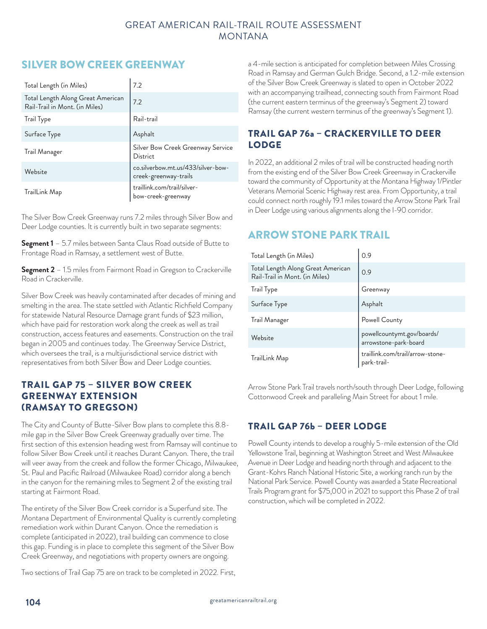# SILVER BOW CREEK GREENWAY

| Total Length (in Miles)                                             | 7.2                                                         |
|---------------------------------------------------------------------|-------------------------------------------------------------|
| Total Length Along Great American<br>Rail-Trail in Mont. (in Miles) | 7.2                                                         |
| Trail Type                                                          | Rail-trail                                                  |
| Surface Type                                                        | Asphalt                                                     |
| Trail Manager                                                       | Silver Bow Creek Greenway Service<br>District               |
| Website                                                             | co.silverbow.mt.us/433/silver-bow-<br>creek-greenway-trails |
| TrailLink Map                                                       | traillink.com/trail/silver-<br>bow-creek-greenway           |

The Silver Bow Creek Greenway runs 7.2 miles through Silver Bow and Deer Lodge counties. It is currently built in two separate segments:

**Segment 1** – 5.7 miles between Santa Claus Road outside of Butte to Frontage Road in Ramsay, a settlement west of Butte.

**Segment 2** – 1.5 miles from Fairmont Road in Gregson to Crackerville Road in Crackerville.

Silver Bow Creek was heavily contaminated after decades of mining and smelting in the area. The state settled with Atlantic Richfield Company for statewide Natural Resource Damage grant funds of \$23 million, which have paid for restoration work along the creek as well as trail construction, access features and easements. Construction on the trail began in 2005 and continues today. The Greenway Service District, which oversees the trail, is a multijurisdictional service district with representatives from both Silver Bow and Deer Lodge counties.

## TRAIL GAP 75 – SILVER BOW CREEK GREENWAY EXTENSION (RAMSAY TO GREGSON)

The City and County of Butte-Silver Bow plans to complete this 8.8 mile gap in the Silver Bow Creek Greenway gradually over time. The first section of this extension heading west from Ramsay will continue to follow Silver Bow Creek until it reaches Durant Canyon. There, the trail will veer away from the creek and follow the former Chicago, Milwaukee, St. Paul and Pacific Railroad (Milwaukee Road) corridor along a bench in the canyon for the remaining miles to Segment 2 of the existing trail starting at Fairmont Road.

The entirety of the Silver Bow Creek corridor is a Superfund site. The Montana Department of Environmental Quality is currently completing remediation work within Durant Canyon. Once the remediation is complete (anticipated in 2022), trail building can commence to close this gap. Funding is in place to complete this segment of the Silver Bow Creek Greenway, and negotiations with property owners are ongoing.

Two sections of Trail Gap 75 are on track to be completed in 2022. First,

a 4-mile section is anticipated for completion between Miles Crossing Road in Ramsay and German Gulch Bridge. Second, a 1.2-mile extension of the Silver Bow Creek Greenway is slated to open in October 2022 with an accompanying trailhead, connecting south from Fairmont Road (the current eastern terminus of the greenway's Segment 2) toward Ramsay (the current western terminus of the greenway's Segment 1).

## TRAIL GAP 76a – CRACKERVILLE TO DEER LODGE

In 2022, an additional 2 miles of trail will be constructed heading north from the existing end of the Silver Bow Creek Greenway in Crackerville toward the community of Opportunity at the Montana Highway 1/Pintler Veterans Memorial Scenic Highway rest area. From Opportunity, a trail could connect north roughly 19.1 miles toward the Arrow Stone Park Trail in Deer Lodge using various alignments along the I-90 corridor.

# ARROW STONE PARK TRAIL

| Total Length (in Miles)                                             | 0.9                                                 |
|---------------------------------------------------------------------|-----------------------------------------------------|
| Total Length Along Great American<br>Rail-Trail in Mont. (in Miles) | 0.9                                                 |
| Trail Type                                                          | Greenway                                            |
| Surface Type                                                        | Asphalt                                             |
| Trail Manager                                                       | Powell County                                       |
| Website                                                             | powellcountymt.gov/boards/<br>arrowstone-park-board |
| TrailLink Map                                                       | traillink.com/trail/arrow-stone-<br>park-trail-     |

Arrow Stone Park Trail travels north/south through Deer Lodge, following Cottonwood Creek and paralleling Main Street for about 1 mile.

## TRAIL GAP 76b – DEER LODGE

Powell County intends to develop a roughly 5-mile extension of the Old Yellowstone Trail, beginning at Washington Street and West Milwaukee Avenue in Deer Lodge and heading north through and adjacent to the Grant-Kohrs Ranch National Historic Site, a working ranch run by the National Park Service. Powell County was awarded a State Recreational Trails Program grant for \$75,000 in 2021 to support this Phase 2 of trail construction, which will be completed in 2022.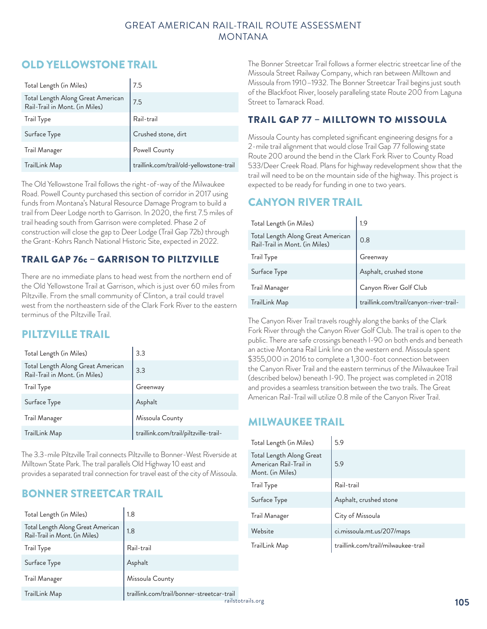# OLD YELLOWSTONE TRAIL

| Total Length (in Miles)                                             | 7.5                                       |
|---------------------------------------------------------------------|-------------------------------------------|
| Total Length Along Great American<br>Rail-Trail in Mont. (in Miles) | $\mathsf{I}_{7.5}$                        |
| Trail Type                                                          | ${\sf Rain-trail}$                        |
| Surface Type                                                        | Crushed stone, dirt                       |
| Trail Manager                                                       | Powell County                             |
| TrailLink Map                                                       | traillink.com/trail/old-yellowstone-trail |

The Old Yellowstone Trail follows the right-of-way of the Milwaukee Road. Powell County purchased this section of corridor in 2017 using funds from Montana's Natural Resource Damage Program to build a trail from Deer Lodge north to Garrison. In 2020, the first 7.5 miles of trail heading south from Garrison were completed. Phase 2 of construction will close the gap to Deer Lodge (Trail Gap 72b) through the Grant-Kohrs Ranch National Historic Site, expected in 2022.

## TRAIL GAP 76c – GARRISON TO PILTZVILLE

There are no immediate plans to head west from the northern end of the Old Yellowstone Trail at Garrison, which is just over 60 miles from Piltzville. From the small community of Clinton, a trail could travel west from the northeastern side of the Clark Fork River to the eastern terminus of the Piltzville Trail.

# PILTZVILLE TRAIL

| Total Length (in Miles)                                             | 3.3                                   |
|---------------------------------------------------------------------|---------------------------------------|
| Total Length Along Great American<br>Rail-Trail in Mont. (in Miles) | 3.3                                   |
| Trail Type                                                          | Greenway                              |
| Surface Type                                                        | Asphalt                               |
| Trail Manager                                                       | Missoula County                       |
| TrailLink Map                                                       | traillink.com/trail/piltzville-trail- |

The 3.3-mile Piltzville Trail connects Piltzville to Bonner-West Riverside at Milltown State Park. The trail parallels Old Highway 10 east and provides a separated trail connection for travel east of the city of Missoula.

# BONNER STREETCAR TRAIL

| Total Length (in Miles)                                             | 1.8                                        | Trail             |
|---------------------------------------------------------------------|--------------------------------------------|-------------------|
| Total Length Along Great American<br>Rail-Trail in Mont. (in Miles) | 1.8                                        | Web               |
| Trail Type                                                          | Rail-trail                                 | Traill            |
| Surface Type                                                        | Asphalt                                    |                   |
| Trail Manager                                                       | Missoula County                            |                   |
| TrailLink Map                                                       | traillink.com/trail/bonner-streetcar-trail | railstotrails.org |
|                                                                     |                                            |                   |

The Bonner Streetcar Trail follows a former electric streetcar line of the Missoula Street Railway Company, which ran between Milltown and Missoula from 1910–1932. The Bonner Streetcar Trail begins just south of the Blackfoot River, loosely paralleling state Route 200 from Laguna Street to Tamarack Road.

## TRAIL GAP 77 – MILLTOWN TO MISSOULA

Missoula County has completed significant engineering designs for a 2-mile trail alignment that would close Trail Gap 77 following state Route 200 around the bend in the Clark Fork River to County Road 533/Deer Creek Road. Plans for highway redevelopment show that the trail will need to be on the mountain side of the highway. This project is expected to be ready for funding in one to two years.

# CANYON RIVER TRAIL

| Total Length (in Miles)                                             | 1.9                                     |
|---------------------------------------------------------------------|-----------------------------------------|
| Total Length Along Great American<br>Rail-Trail in Mont. (in Miles) | 0.8                                     |
| Trail Type                                                          | Greenway                                |
| Surface Type                                                        | Asphalt, crushed stone                  |
| Trail Manager                                                       | Canyon River Golf Club                  |
| TrailLink Map                                                       | traillink.com/trail/canyon-river-trail- |

The Canyon River Trail travels roughly along the banks of the Clark Fork River through the Canyon River Golf Club. The trail is open to the public. There are safe crossings beneath I-90 on both ends and beneath an active Montana Rail Link line on the western end. Missoula spent \$355,000 in 2016 to complete a 1,300-foot connection between the Canyon River Trail and the eastern terminus of the Milwaukee Trail (described below) beneath I-90. The project was completed in 2018 and provides a seamless transition between the two trails. The Great American Rail-Trail will utilize 0.8 mile of the Canyon River Trail.

# MILWAUKEE TRAIL

| Total Length (in Miles)                                                | 5.9                                 |
|------------------------------------------------------------------------|-------------------------------------|
| Total Length Along Great<br>American Rail-Trail in<br>Mont. (in Miles) | 5.9                                 |
| Trail Type                                                             | Rail-trail                          |
| Surface Type                                                           | Asphalt, crushed stone              |
| Trail Manager                                                          | City of Missoula                    |
| Website                                                                | ci.missoula.mt.us/207/maps          |
| TrailLink Map                                                          | traillink.com/trail/milwaukee-trail |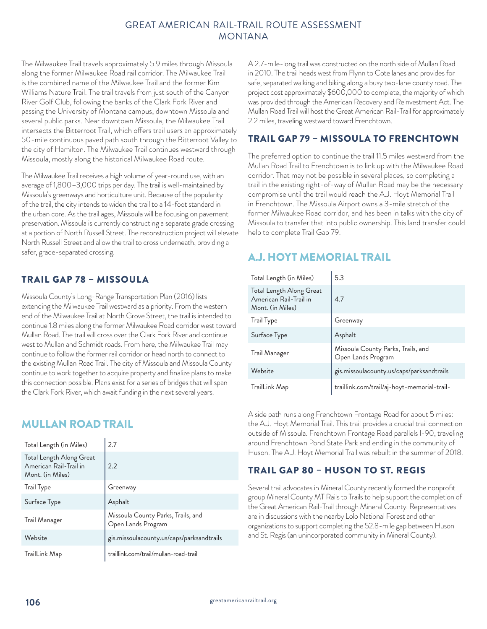The Milwaukee Trail travels approximately 5.9 miles through Missoula along the former Milwaukee Road rail corridor. The Milwaukee Trail is the combined name of the Milwaukee Trail and the former Kim Williams Nature Trail. The trail travels from just south of the Canyon River Golf Club, following the banks of the Clark Fork River and passing the University of Montana campus, downtown Missoula and several public parks. Near downtown Missoula, the Milwaukee Trail intersects the Bitterroot Trail, which offers trail users an approximately 50-mile continuous paved path south through the Bitterroot Valley to the city of Hamilton. The Milwaukee Trail continues westward through Missoula, mostly along the historical Milwaukee Road route.

The Milwaukee Trail receives a high volume of year-round use, with an average of 1,800–3,000 trips per day. The trail is well-maintained by Missoula's greenways and horticulture unit. Because of the popularity of the trail, the city intends to widen the trail to a 14-foot standard in the urban core. As the trail ages, Missoula will be focusing on pavement preservation. Missoula is currently constructing a separate grade crossing at a portion of North Russell Street. The reconstruction project will elevate North Russell Street and allow the trail to cross underneath, providing a safer, grade-separated crossing.

## TRAIL GAP 78 – MISSOULA

Missoula County's Long-Range Transportation Plan (2016) lists extending the Milwaukee Trail westward as a priority. From the western end of the Milwaukee Trail at North Grove Street, the trail is intended to continue 1.8 miles along the former Milwaukee Road corridor west toward Mullan Road. The trail will cross over the Clark Fork River and continue west to Mullan and Schmidt roads. From here, the Milwaukee Trail may continue to follow the former rail corridor or head north to connect to the existing Mullan Road Trail. The city of Missoula and Missoula County continue to work together to acquire property and finalize plans to make this connection possible. Plans exist for a series of bridges that will span the Clark Fork River, which await funding in the next several years.

# MULLAN ROAD TRAIL

| Total Length (in Miles)                                                | 2.7                                                      |
|------------------------------------------------------------------------|----------------------------------------------------------|
| Total Length Along Great<br>American Rail-Trail in<br>Mont. (in Miles) | 2.2                                                      |
| <b>Trail Type</b>                                                      | Greenway                                                 |
| Surface Type                                                           | Asphalt                                                  |
| Trail Manager                                                          | Missoula County Parks, Trails, and<br>Open Lands Program |
| Website                                                                | gis.missoulacounty.us/caps/parksandtrails                |
| TrailLink Map                                                          | traillink.com/trail/mullan-road-trail                    |

A 2.7-mile-long trail was constructed on the north side of Mullan Road in 2010. The trail heads west from Flynn to Cote lanes and provides for safe, separated walking and biking along a busy two-lane county road. The project cost approximately \$600,000 to complete, the majority of which was provided through the American Recovery and Reinvestment Act. The Mullan Road Trail will host the Great American Rail-Trail for approximately 2.2 miles, traveling westward toward Frenchtown.

## TRAIL GAP 79 – MISSOULA TO FRENCHTOWN

The preferred option to continue the trail 11.5 miles westward from the Mullan Road Trail to Frenchtown is to link up with the Milwaukee Road corridor. That may not be possible in several places, so completing a trail in the existing right-of-way of Mullan Road may be the necessary compromise until the trail would reach the A.J. Hoyt Memorial Trail in Frenchtown. The Missoula Airport owns a 3-mile stretch of the former Milwaukee Road corridor, and has been in talks with the city of Missoula to transfer that into public ownership. This land transfer could help to complete Trail Gap 79.

# A.J. HOYT MEMORIAL TRAIL

| Total Length (in Miles)                                                | 5.3                                                      |
|------------------------------------------------------------------------|----------------------------------------------------------|
| Total Length Along Great<br>American Rail-Trail in<br>Mont. (in Miles) | 4.7                                                      |
| <b>Trail Type</b>                                                      | Greenway                                                 |
| Surface Type                                                           | Asphalt                                                  |
| Trail Manager                                                          | Missoula County Parks, Trails, and<br>Open Lands Program |
| Website                                                                | gis.missoulacounty.us/caps/parksandtrails                |
| TrailLink Map                                                          | traillink.com/trail/aj-hoyt-memorial-trail-              |

A side path runs along Frenchtown Frontage Road for about 5 miles: the A.J. Hoyt Memorial Trail. This trail provides a crucial trail connection outside of Missoula. Frenchtown Frontage Road parallels I-90, traveling around Frenchtown Pond State Park and ending in the community of Huson. The A.J. Hoyt Memorial Trail was rebuilt in the summer of 2018.

## TRAIL GAP 80 – HUSON TO ST. REGIS

Several trail advocates in Mineral County recently formed the nonprofit group Mineral County MT Rails to Trails to help support the completion of the Great American Rail-Trail through Mineral County. Representatives are in discussions with the nearby Lolo National Forest and other organizations to support completing the 52.8-mile gap between Huson and St. Regis (an unincorporated community in Mineral County).